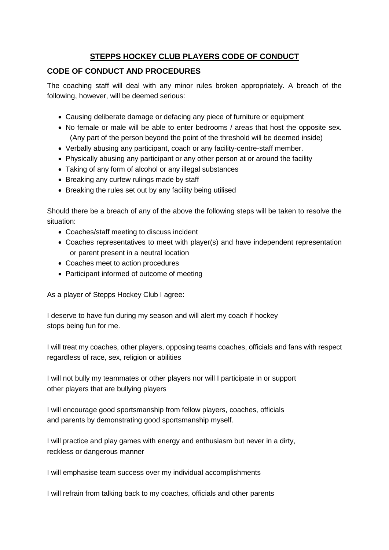# **STEPPS HOCKEY CLUB PLAYERS CODE OF CONDUCT**

## **CODE OF CONDUCT AND PROCEDURES**

The coaching staff will deal with any minor rules broken appropriately. A breach of the following, however, will be deemed serious:

- Causing deliberate damage or defacing any piece of furniture or equipment
- No female or male will be able to enter bedrooms / areas that host the opposite sex. (Any part of the person beyond the point of the threshold will be deemed inside)
- Verbally abusing any participant, coach or any facility-centre-staff member.
- Physically abusing any participant or any other person at or around the facility
- Taking of any form of alcohol or any illegal substances
- Breaking any curfew rulings made by staff
- Breaking the rules set out by any facility being utilised

Should there be a breach of any of the above the following steps will be taken to resolve the situation:

- Coaches/staff meeting to discuss incident
- Coaches representatives to meet with player(s) and have independent representation or parent present in a neutral location
- Coaches meet to action procedures
- Participant informed of outcome of meeting

As a player of Stepps Hockey Club I agree:

I deserve to have fun during my season and will alert my coach if hockey stops being fun for me.

I will treat my coaches, other players, opposing teams coaches, officials and fans with respect regardless of race, sex, religion or abilities

I will not bully my teammates or other players nor will I participate in or support other players that are bullying players

I will encourage good sportsmanship from fellow players, coaches, officials and parents by demonstrating good sportsmanship myself.

I will practice and play games with energy and enthusiasm but never in a dirty, reckless or dangerous manner

I will emphasise team success over my individual accomplishments

I will refrain from talking back to my coaches, officials and other parents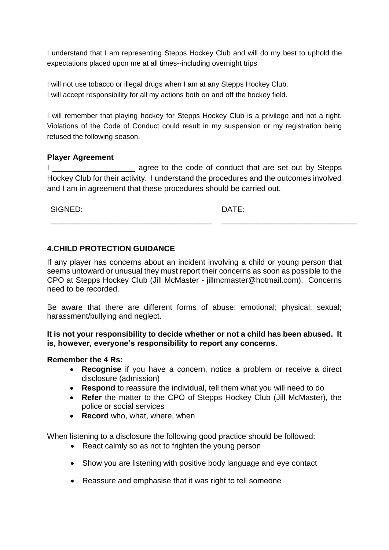I understand that I am representing Stepps Hockey Club and will do my best to uphold the expectations placed upon me at all times--including overnight trips

I will not use tobacco or illegal drugs when I am at any Stepps Hockey Club. I will accept responsibility for all my actions both on and off the hockey field.

I will remember that playing hockey for Stepps Hockey Club is a privilege and not a right. Violations of the Code of Conduct could result in my suspension or my registration being refused the following season.

### **Player Agreement**

I \_\_\_\_\_\_\_\_\_\_\_\_\_\_\_\_\_\_\_ agree to the code of conduct that are set out by Stepps Hockey Club for their activity. I understand the procedures and the outcomes involved and I am in agreement that these procedures should be carried out.

SIGNED:

DATE:

\_\_\_\_\_\_\_\_\_\_\_\_\_\_\_\_\_\_\_\_\_\_\_\_\_\_\_\_\_\_\_

### **4.CHILD PROTECTION GUIDANCE**

\_\_\_\_\_\_\_\_\_\_\_\_\_\_\_\_\_\_\_\_\_\_\_\_\_\_\_\_\_\_\_\_\_\_\_\_\_

If any player has concerns about an incident involving a child or young person that seems untoward or unusual they must report their concerns as soon as possible to the CPO at Stepps Hockey Club (Jill McMaster - jillmcmaster@hotmail.com). Concerns need to be recorded.

Be aware that there are different forms of abuse: emotional; physical; sexual; harassment/bullying and neglect.

#### **It is not your responsibility to decide whether or not a child has been abused. It is, however, everyone's responsibility to report any concerns.**

#### **Remember the 4 Rs:**

- **Recognise** if you have a concern, notice a problem or receive a direct disclosure (admission)
- **Respond** to reassure the individual, tell them what you will need to do
- **Refer** the matter to the CPO of Stepps Hockey Club (Jill McMaster), the police or social services
- **Record** who, what, where, when

When listening to a disclosure the following good practice should be followed:

- React calmly so as not to frighten the young person
- Show you are listening with positive body language and eye contact
- Reassure and emphasise that it was right to tell someone